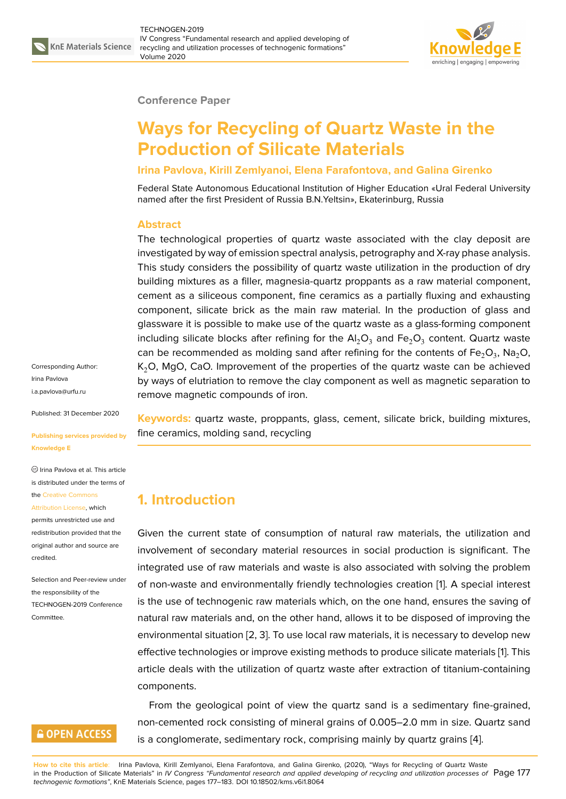

#### **Conference Paper**

# **Ways for Recycling of Quartz Waste in the Production of Silicate Materials**

#### **Irina Pavlova, Kirill Zemlyanoi, Elena Farafontova, and Galina Girenko**

Federal State Autonomous Educational Institution of Higher Education «Ural Federal University named after the first President of Russia B.N.Yeltsin», Ekaterinburg, Russia

#### **Abstract**

The technological properties of quartz waste associated with the clay deposit are investigated by way of emission spectral analysis, petrography and X-ray phase analysis. This study considers the possibility of quartz waste utilization in the production of dry building mixtures as a filler, magnesia-quartz proppants as a raw material component, cement as a siliceous component, fine ceramics as a partially fluxing and exhausting component, silicate brick as the main raw material. In the production of glass and glassware it is possible to make use of the quartz waste as a glass-forming component including silicate blocks after refining for the  $\mathsf{Al}_2\mathsf{O}_3$  and  $\mathsf{Fe}_2\mathsf{O}_3$  content. Quartz waste can be recommended as molding sand after refining for the contents of Fe $_2$ O<sub>3</sub>, Na $_2$ O, K<sub>2</sub>O, MgO, CaO. Improvement of the properties of the quartz waste can be achieved by ways of elutriation to remove the clay component as well as magnetic separation to remove magnetic compounds of iron.

**Keywords:** quartz waste, proppants, glass, cement, silicate brick, building mixtures, fine ceramics, molding sand, recycling

### **1. Introduction**

Given the current state of consumption of natural raw materials, the utilization and involvement of secondary material resources in social production is significant. The integrated use of raw materials and waste is also associated with solving the problem of non-waste and environmentally friendly technologies creation [1]. A special interest is the use of technogenic raw materials which, on the one hand, ensures the saving of natural raw materials and, on the other hand, allows it to be disposed of improving the environmental situation [2, 3]. To use local raw materials, it is nece[ss](#page-5-0)ary to develop new effective technologies or improve existing methods to produce silicate materials [1]. This article deals with the utilization of quartz waste after extraction of titanium-containing components.

From the geological point of view the quartz sand is a sedimentary fine-g[ra](#page-5-0)ined, non-cemented rock consisting of mineral grains of 0.005–2.0 mm in size. Quartz sand is a conglomerate, sedimentary rock, comprising mainly by quartz grains [4].

**How to cite this article**: Irina Pavlova, Kirill Zemlyanoi, Elena Farafontova, and Galina Girenko, (2020), "Ways for Recycling of Quartz Waste in the Production of Silicate Materials" in *IV Congress "Fundamental research and applied developing of recycling and utilization processes of* Page 177 *technogenic formations"*, KnE Materials Science, pages 177–183. DOI 10.18502/kms.v6i1.8064

Corresponding Author: Irina Pavlova i.a.pavlova@urfu.ru

Published: 31 December 2020

#### **[Publishing service](mailto:i.a.pavlova@urfu.ru)s provided by Knowledge E**

 $<sup>©</sup> Irina Pavlova et al. This article$ </sup> is distributed under the terms of the Creative Commons

Attribution License, which

permits unrestricted use and redistribution provided that the orig[inal author and sou](https://creativecommons.org/licenses/by/4.0/)rce are [credited.](https://creativecommons.org/licenses/by/4.0/)

Selection and Peer-review under the responsibility of the TECHNOGEN-2019 Conference Committee.

### **GOPEN ACCESS**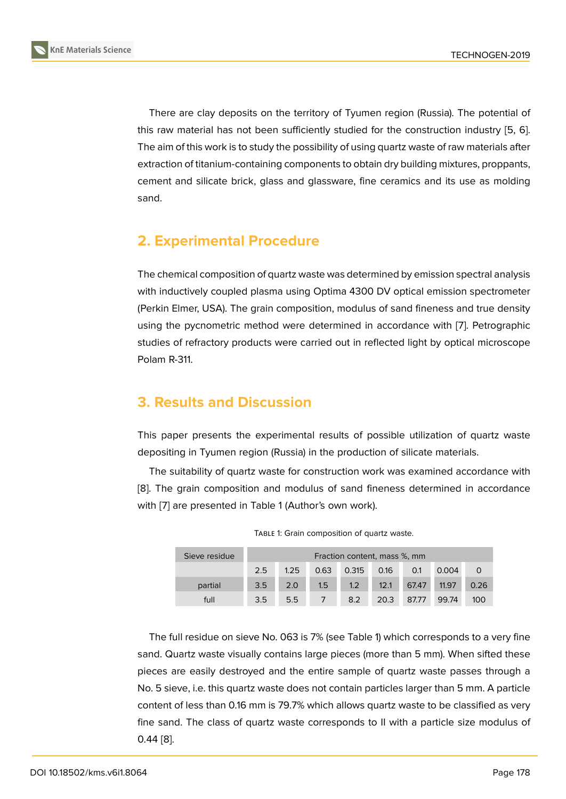There are clay deposits on the territory of Tyumen region (Russia). The potential of this raw material has not been sufficiently studied for the construction industry [5, 6]. The aim of this work is to study the possibility of using quartz waste of raw materials after extraction of titanium-containing components to obtain dry building mixtures, proppants, cement and silicate brick, glass and glassware, fine ceramics and its use as m[old](#page-5-1)i[ng](#page-5-2) sand.

# **2. Experimental Procedure**

The chemical composition of quartz waste was determined by emission spectral analysis with inductively coupled plasma using Optima 4300 DV optical emission spectrometer (Perkin Elmer, USA). The grain composition, modulus of sand fineness and true density using the pycnometric method were determined in accordance with [7]. Petrographic studies of refractory products were carried out in reflected light by optical microscope Polam R-311.

# **3. Results and Discussion**

This paper presents the experimental results of possible utilization of quartz waste depositing in Tyumen region (Russia) in the production of silicate materials.

The suitability of quartz waste for construction work was examined accordance with [8]. The grain composition and modulus of sand fineness determined in accordance with [7] are presented in Table 1 (Author's own work).

| Sieve residue | Fraction content, mass %, mm |      |      |       |      |       |       |      |  |  |
|---------------|------------------------------|------|------|-------|------|-------|-------|------|--|--|
|               | 2.5                          | 1.25 | 0.63 | 0.315 | 0.16 | 0.1   | 0.004 |      |  |  |
| partial       | 3.5                          | 2.0  | 1.5  | 1.2   | 12.1 | 67.47 | 11.97 | 0.26 |  |  |
| full          | 3.5                          | 5.5  |      | 8.2   | 20.3 | 87.77 | 99.74 | 100  |  |  |

The full residue on sieve No. 063 is 7% (see Table 1) which corresponds to a very fine sand. Quartz waste visually contains large pieces (more than 5 mm). When sifted these pieces are easily destroyed and the entire sample of quartz waste passes through a No. 5 sieve, i.e. this quartz waste does not contain particles larger than 5 mm. A particle content of less than 0.16 mm is 79.7% which allows quartz waste to be classified as very fine sand. The class of quartz waste corresponds to II with a particle size modulus of 0.44 [8].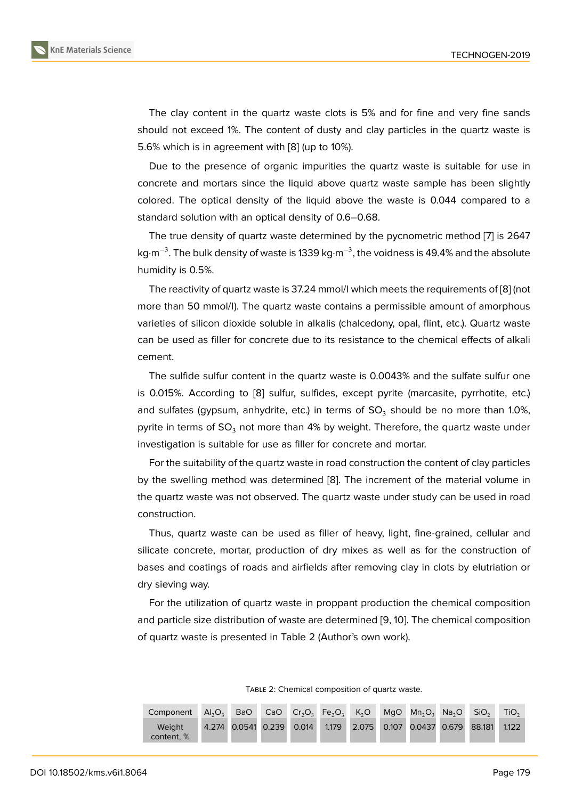The clay content in the quartz waste clots is 5% and for fine and very fine sands should not exceed 1%. The content of dusty and clay particles in the quartz waste is 5.6% which is in agreement with [8] (up to 10%).

Due to the presence of organic impurities the quartz waste is suitable for use in concrete and mortars since the liquid above quartz waste sample has been slightly colored. The optical density of t[he](#page-5-3) liquid above the waste is 0.044 compared to a standard solution with an optical density of 0.6–0.68.

The true density of quartz waste determined by the pycnometric method [7] is 2647 kg·m<sup>-3</sup>. The bulk density of waste is 1339 kg·m<sup>-3</sup>, the voidness is 49.4% and the absolute humidity is 0.5%.

The reactivity of quartz waste is 37.24 mmol/l which meets the requirement[s o](#page-5-4)f [8] (not more than 50 mmol/l). The quartz waste contains a permissible amount of amorphous varieties of silicon dioxide soluble in alkalis (chalcedony, opal, flint, etc.). Quartz waste can be used as filler for concrete due to its resistance to the chemical effects o[f a](#page-5-3)lkali cement.

The sulfide sulfur content in the quartz waste is 0.0043% and the sulfate sulfur one is 0.015%. According to [8] sulfur, sulfides, except pyrite (marcasite, pyrrhotite, etc.) and sulfates (gypsum, anhydrite, etc.) in terms of  $\mathsf{SO}_3$  should be no more than 1.0%, pyrite in terms of  $SO_3$  not more than 4% by weight. Therefore, the quartz waste under investigation is suitable f[or u](#page-5-3)se as filler for concrete and mortar.

For the suitability of the quartz waste in road construction the content of clay particles by the swelling method was determined [8]. The increment of the material volume in the quartz waste was not observed. The quartz waste under study can be used in road construction.

Thus, quartz waste can be used as fill[er](#page-5-3) of heavy, light, fine-grained, cellular and silicate concrete, mortar, production of dry mixes as well as for the construction of bases and coatings of roads and airfields after removing clay in clots by elutriation or dry sieving way.

For the utilization of quartz waste in proppant production the chemical composition and particle size distribution of waste are determined [9, 10]. The chemical composition of quartz waste is presented in Table 2 (Author's own work).

| Component            |  |  |  | $AI_2O_3$ BaO CaO Cr <sub>2</sub> O <sub>3</sub> Fe <sub>2</sub> O <sub>3</sub> K <sub>2</sub> O MgO Mn <sub>2</sub> O <sub>3</sub> Na <sub>2</sub> O SiO <sub>2</sub> |  | TiO <sub>2</sub> |
|----------------------|--|--|--|------------------------------------------------------------------------------------------------------------------------------------------------------------------------|--|------------------|
| Weight<br>content, % |  |  |  | 4.274 0.0541 0.239 0.014 1.179 2.075 0.107 0.0437 0.679 88.181 1.122                                                                                                   |  |                  |

TABLE 2: Chemical composition of quartz waste.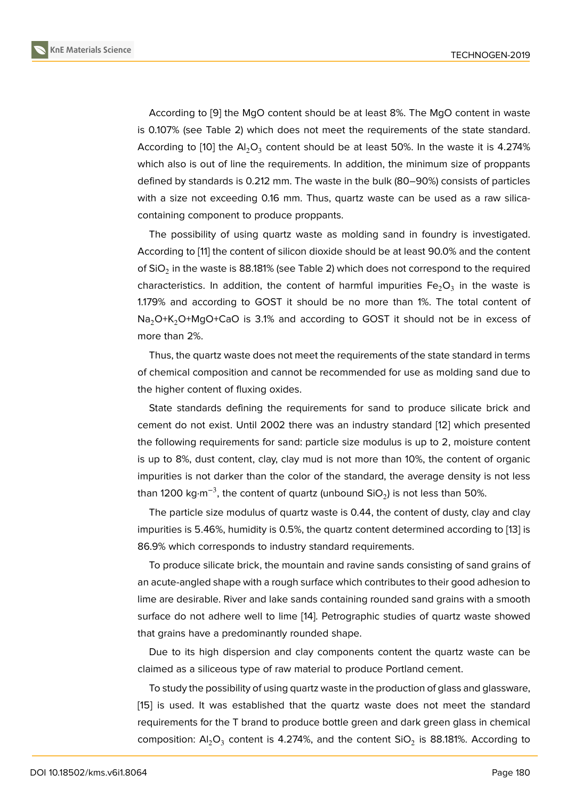According to [9] the MgO content should be at least 8%. The MgO content in waste is 0.107% (see Table 2) which does not meet the requirements of the state standard. According to [10] the Al $_2$ O $_3$  content should be at least 50%. In the waste it is 4.274% which also is ou[t o](#page-5-5)f line the requirements. In addition, the minimum size of proppants defined by standards is 0.212 mm. The waste in the bulk (80–90%) consists of particles with a size n[ot e](#page-5-6)xceeding 0.16 mm. Thus, quartz waste can be used as a raw silicacontaining component to produce proppants.

The possibility of using quartz waste as molding sand in foundry is investigated. According to [11] the content of silicon dioxide should be at least 90.0% and the content of SiO $_2$  in the waste is 88.181% (see Table 2) which does not correspond to the required characteristics. In addition, the content of harmful impurities  $\mathsf{Fe_{2}O_{3}}$  in the waste is 1.179% and a[cc](#page-5-7)ording to GOST it should be no more than 1%. The total content of Na<sub>2</sub>O+K<sub>2</sub>O+MgO+CaO is 3.1% and according to GOST it should not be in excess of more than 2%.

Thus, the quartz waste does not meet the requirements of the state standard in terms of chemical composition and cannot be recommended for use as molding sand due to the higher content of fluxing oxides.

State standards defining the requirements for sand to produce silicate brick and cement do not exist. Until 2002 there was an industry standard [12] which presented the following requirements for sand: particle size modulus is up to 2, moisture content is up to 8%, dust content, clay, clay mud is not more than 10%, the content of organic impurities is not darker than the color of the standard, the avera[ge](#page-5-8) density is not less than 1200 kg·m $^{-3}$ , the content of quartz (unbound SiO $_2$ ) is not less than 50%.

The particle size modulus of quartz waste is 0.44, the content of dusty, clay and clay impurities is 5.46%, humidity is 0.5%, the quartz content determined according to [13] is 86.9% which corresponds to industry standard requirements.

To produce silicate brick, the mountain and ravine sands consisting of sand grains of an acute-angled shape with a rough surface which contributes to their good adhesi[on](#page-5-9) to lime are desirable. River and lake sands containing rounded sand grains with a smooth surface do not adhere well to lime [14]. Petrographic studies of quartz waste showed that grains have a predominantly rounded shape.

Due to its high dispersion and clay components content the quartz waste can be claimed as a siliceous type of raw m[ate](#page-5-10)rial to produce Portland cement.

To study the possibility of using quartz waste in the production of glass and glassware, [15] is used. It was established that the quartz waste does not meet the standard requirements for the T brand to produce bottle green and dark green glass in chemical composition:  $\mathsf{Al}_2\mathsf{O}_3$  content is 4.274%, and the content SiO $_2$  is 88.181%. According to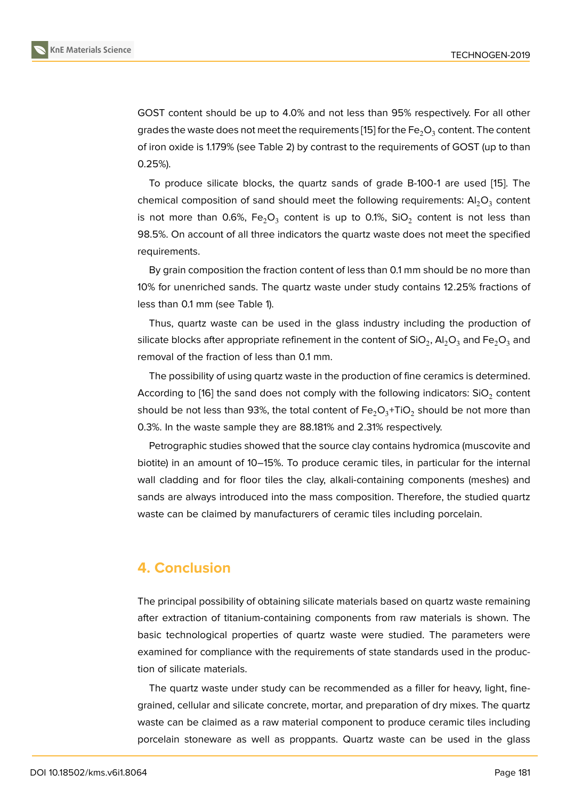GOST content should be up to 4.0% and not less than 95% respectively. For all other grades the waste does not meet the requirements [15] for the Fe $_2\textsf{O}_3$  content. The content of iron oxide is 1.179% (see Table 2) by contrast to the requirements of GOST (up to than 0.25%).

To produce silicate blocks, the quartz sands [of](#page-5-11) grade B-100-1 are used [15]. The chemical composition of sand should meet the following requirements:  $\mathsf{Al}_2\mathsf{O}_3$  content is not more than 0.6%, Fe $\rm _2O_3$  content is up to 0.1%, SiO $\rm _2$  content is not less than 98.5%. On account of all three indicators the quartz waste does not meet the s[pe](#page-5-11)cified requirements.

By grain composition the fraction content of less than 0.1 mm should be no more than 10% for unenriched sands. The quartz waste under study contains 12.25% fractions of less than 0.1 mm (see Table 1).

Thus, quartz waste can be used in the glass industry including the production of silicate blocks after appropriate refinement in the content of SiO $_2$ , Al $_2$ O $_3$  and Fe $_2$ O $_3$  and removal of the fraction of less than 0.1 mm.

The possibility of using quartz waste in the production of fine ceramics is determined. According to [16] the sand does not comply with the following indicators: SiO $_2$  content should be not less than 93%, the total content of Fe $_2$ O $_3^+$ TiO $_2$  should be not more than 0.3%. In the waste sample they are 88.181% and 2.31% respectively.

Petrograph[ic s](#page-6-0)tudies showed that the source clay contains hydromica (muscovite and biotite) in an amount of 10–15%. To produce ceramic tiles, in particular for the internal wall cladding and for floor tiles the clay, alkali-containing components (meshes) and sands are always introduced into the mass composition. Therefore, the studied quartz waste can be claimed by manufacturers of ceramic tiles including porcelain.

### **4. Conclusion**

The principal possibility of obtaining silicate materials based on quartz waste remaining after extraction of titanium-containing components from raw materials is shown. The basic technological properties of quartz waste were studied. The parameters were examined for compliance with the requirements of state standards used in the production of silicate materials.

The quartz waste under study can be recommended as a filler for heavy, light, finegrained, cellular and silicate concrete, mortar, and preparation of dry mixes. The quartz waste can be claimed as a raw material component to produce ceramic tiles including porcelain stoneware as well as proppants. Quartz waste can be used in the glass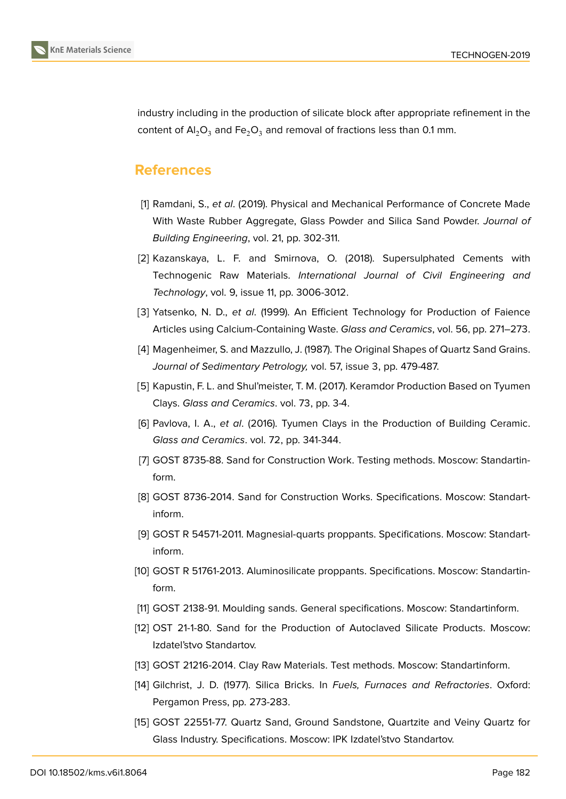

industry including in the production of silicate block after appropriate refinement in the content of  $AI_2O_3$  and Fe<sub>2</sub>O<sub>3</sub> and removal of fractions less than 0.1 mm.

### **References**

- <span id="page-5-0"></span>[1] Ramdani, S., *et al*. (2019). Physical and Mechanical Performance of Concrete Made With Waste Rubber Aggregate, Glass Powder and Silica Sand Powder. *Journal of Building Engineering*, vol. 21, pp. 302-311.
- [2] Kazanskaya, L. F. and Smirnova, O. (2018). Supersulphated Cements with Technogenic Raw Materials. *International Journal of Civil Engineering and Technology*, vol. 9, issue 11, pp. 3006-3012.
- [3] Yatsenko, N. D., *et al*. (1999). An Efficient Technology for Production of Faience Articles using Calcium-Containing Waste. *Glass and Ceramics*, vol. 56, pp. 271–273.
- [4] Magenheimer, S. and Mazzullo, J. (1987). The Original Shapes of Quartz Sand Grains. *Journal of Sedimentary Petrology,* vol. 57, issue 3, pp. 479-487.
- <span id="page-5-1"></span>[5] Kapustin, F. L. and Shul'meister, T. M. (2017). Keramdor Production Based on Tyumen Clays. *Glass and Ceramics*. vol. 73, pp. 3-4.
- <span id="page-5-2"></span>[6] Pavlova, I. A., *et al*. (2016). Tyumen Clays in the Production of Building Ceramic. *Glass and Ceramics*. vol. 72, pp. 341-344.
- <span id="page-5-4"></span>[7] GOST 8735-88. Sand for Construction Work. Testing methods. Moscow: Standartinform.
- <span id="page-5-3"></span>[8] GOST 8736-2014. Sand for Construction Works. Specifications. Moscow: Standartinform.
- <span id="page-5-5"></span>[9] GOST R 54571-2011. Magnesial-quarts proppants. Sрeсifiсations. Moscow: Standartinform.
- <span id="page-5-6"></span>[10] GOST R 51761-2013. Aluminosilicate proppants. Specifications. Moscow: Standartinform.
- <span id="page-5-7"></span>[11] GOST 2138-91. Moulding sands. General specifications. Moscow: Standartinform.
- <span id="page-5-8"></span>[12] OST 21-1-80. Sand for the Production of Autoclaved Silicate Products. Moscow: Izdatel'stvo Standartov.
- <span id="page-5-9"></span>[13] GOST 21216-2014. Clay Raw Materials. Test methods. Moscow: Standartinform.
- <span id="page-5-10"></span>[14] Gilchrist, J. D. (1977). Silica Bricks. In *Fuels, Furnaces and Refractories*. Oxford: Pergamon Press, pp. 273-283.
- <span id="page-5-11"></span>[15] GOST 22551-77. Quartz Sand, Ground Sandstone, Quartzite and Veiny Quartz for Glass Industry. Specifications. Moscow: IPK Izdatel'stvo Standartov.